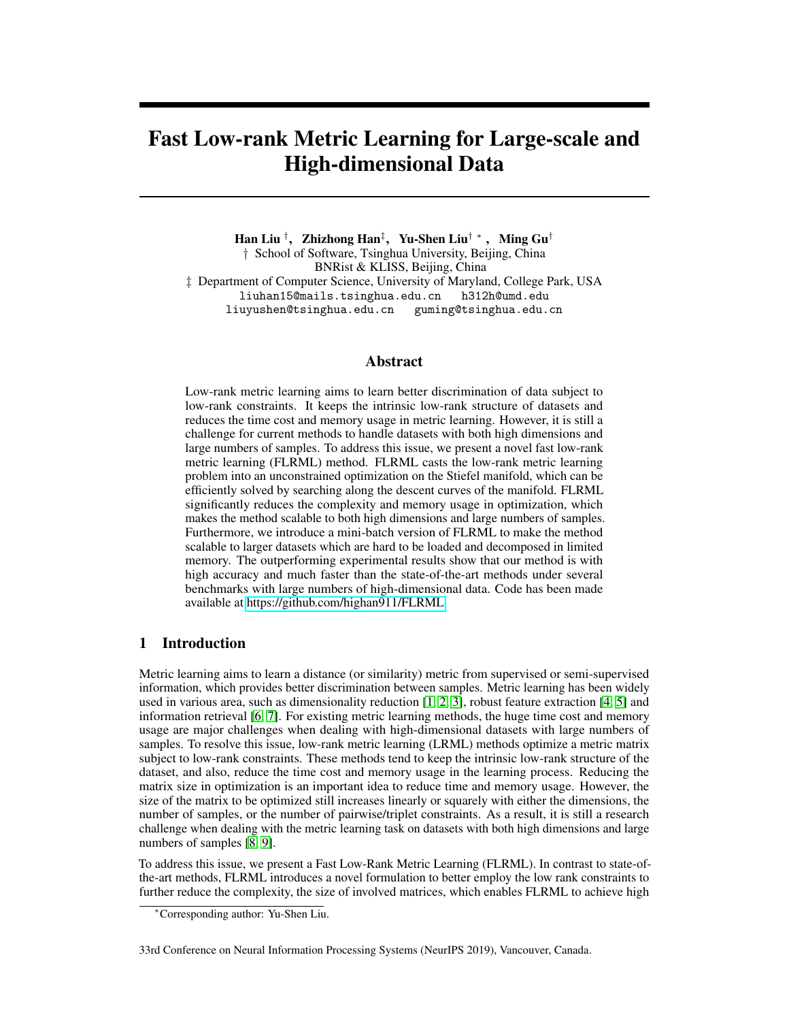# Fast Low-rank Metric Learning for Large-scale and High-dimensional Data

Han Liu † , Zhizhong Han‡ , Yu-Shen Liu† ∗ , Ming Gu† † School of Software, Tsinghua University, Beijing, China BNRist & KLISS, Beijing, China ‡ Department of Computer Science, University of Maryland, College Park, USA liuhan15@mails.tsinghua.edu.cn h312h@umd.edu liuyushen@tsinghua.edu.cn guming@tsinghua.edu.cn

# **Abstract**

Low-rank metric learning aims to learn better discrimination of data subject to low-rank constraints. It keeps the intrinsic low-rank structure of datasets and reduces the time cost and memory usage in metric learning. However, it is still a challenge for current methods to handle datasets with both high dimensions and large numbers of samples. To address this issue, we present a novel fast low-rank metric learning (FLRML) method. FLRML casts the low-rank metric learning problem into an unconstrained optimization on the Stiefel manifold, which can be efficiently solved by searching along the descent curves of the manifold. FLRML significantly reduces the complexity and memory usage in optimization, which makes the method scalable to both high dimensions and large numbers of samples. Furthermore, we introduce a mini-batch version of FLRML to make the method scalable to larger datasets which are hard to be loaded and decomposed in limited memory. The outperforming experimental results show that our method is with high accuracy and much faster than the state-of-the-art methods under several benchmarks with large numbers of high-dimensional data. Code has been made available at [https://github.com/highan911/FLRML.](https://github.com/highan911/FLRML)

# 1 Introduction

Metric learning aims to learn a distance (or similarity) metric from supervised or semi-supervised information, which provides better discrimination between samples. Metric learning has been widely used in various area, such as dimensionality reduction [1, 2, 3], robust feature extraction [4, 5] and information retrieval [6, 7]. For existing metric learning methods, the huge time cost and memory usage are major challenges when dealing with high-dimensional datasets with large numbers of samples. To resolve this issue, low-rank metric learning (LRML) methods optimize a metric matrix subject to low-rank constraints. These methods tend to keep the intrinsic low-rank structure of the dataset, and also, reduce the time cost and memory usage in the learning process. Reducing the matrix size in optimization is an important idea to reduce time and memory usage. However, the size of the matrix to be optimized still increases linearly or squarely with either the dimensions, the number of samples, or the number of pairwise/triplet constraints. As a result, it is still a research challenge when dealing with the metric learning task on datasets with both high dimensions and large numbers of samples [8, 9].

To address this issue, we present a Fast Low-Rank Metric Learning (FLRML). In contrast to state-ofthe-art methods, FLRML introduces a novel formulation to better employ the low rank constraints to further reduce the complexity, the size of involved matrices, which enables FLRML to achieve high

33rd Conference on Neural Information Processing Systems (NeurIPS 2019), Vancouver, Canada.

<sup>∗</sup>Corresponding author: Yu-Shen Liu.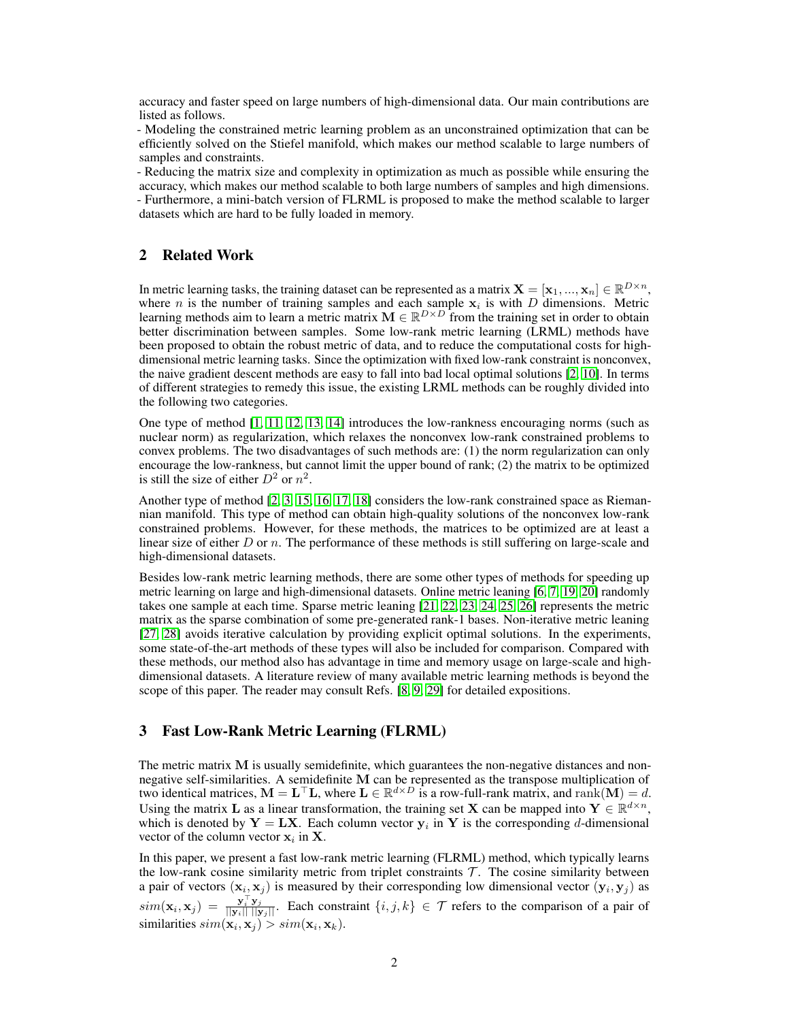accuracy and faster speed on large numbers of high-dimensional data. Our main contributions are listed as follows.

- Modeling the constrained metric learning problem as an unconstrained optimization that can be efficiently solved on the Stiefel manifold, which makes our method scalable to large numbers of samples and constraints.

- Reducing the matrix size and complexity in optimization as much as possible while ensuring the accuracy, which makes our method scalable to both large numbers of samples and high dimensions. - Furthermore, a mini-batch version of FLRML is proposed to make the method scalable to larger datasets which are hard to be fully loaded in memory.

# 2 Related Work

In metric learning tasks, the training dataset can be represented as a matrix  $\mathbf{X} = [\mathbf{x}_1,...,\mathbf{x}_n] \in \mathbb{R}^{D \times n}$ , where *n* is the number of training samples and each sample  $x_i$  is with *D* dimensions. Metric learning methods aim to learn a metric matrix  $\mathbf{M} \in \mathbb{R}^{D \times D}$  from the training set in order to obtain better discrimination between samples. Some low-rank metric learning (LRML) methods have been proposed to obtain the robust metric of data, and to reduce the computational costs for highdimensional metric learning tasks. Since the optimization with fixed low-rank constraint is nonconvex, the naive gradient descent methods are easy to fall into bad local optimal solutions [2, 10]. In terms of different strategies to remedy this issue, the existing LRML methods can be roughly divided into the following two categories.

One type of method [1, 11, 12, 13, 14] introduces the low-rankness encouraging norms (such as nuclear norm) as regularization, which relaxes the nonconvex low-rank constrained problems to convex problems. The two disadvantages of such methods are: (1) the norm regularization can only encourage the low-rankness, but cannot limit the upper bound of rank; (2) the matrix to be optimized is still the size of either  $D^2$  or  $n^2$ .

Another type of method [2, 3, 15, 16, 17, 18] considers the low-rank constrained space as Riemannian manifold. This type of method can obtain high-quality solutions of the nonconvex low-rank constrained problems. However, for these methods, the matrices to be optimized are at least a linear size of either  $D$  or  $n$ . The performance of these methods is still suffering on large-scale and high-dimensional datasets.

Besides low-rank metric learning methods, there are some other types of methods for speeding up metric learning on large and high-dimensional datasets. Online metric leaning [6, 7, 19, 20] randomly takes one sample at each time. Sparse metric leaning [21, 22, 23, 24, 25, 26] represents the metric matrix as the sparse combination of some pre-generated rank-1 bases. Non-iterative metric leaning [27, 28] avoids iterative calculation by providing explicit optimal solutions. In the experiments, some state-of-the-art methods of these types will also be included for comparison. Compared with these methods, our method also has advantage in time and memory usage on large-scale and highdimensional datasets. A literature review of many available metric learning methods is beyond the scope of this paper. The reader may consult Refs. [8, 9, 29] for detailed expositions.

# 3 Fast Low-Rank Metric Learning (FLRML)

The metric matrix M is usually semidefinite, which guarantees the non-negative distances and nonnegative self-similarities. A semidefinite M can be represented as the transpose multiplication of two identical matrices,  $M = L^{\top}L$ , where  $L \in \mathbb{R}^{d \times D}$  is a row-full-rank matrix, and rank $(M) = d$ . Using the matrix L as a linear transformation, the training set X can be mapped into  $Y \in \mathbb{R}^{d \times n}$ , which is denoted by  $Y = LX$ . Each column vector  $y_i$  in Y is the corresponding d-dimensional vector of the column vector  $x_i$  in **X**.

In this paper, we present a fast low-rank metric learning (FLRML) method, which typically learns the low-rank cosine similarity metric from triplet constraints  $T$ . The cosine similarity between a pair of vectors  $(x_i, x_j)$  is measured by their corresponding low dimensional vector  $(y_i, y_j)$  as  $\text{sim}(\mathbf{x}_i, \mathbf{x}_j) = \frac{\mathbf{y}_i^{\top} \mathbf{y}_j}{\|\mathbf{y}_i\| \|\mathbf{y}_j\|}$ . Each constraint  $\{i, j, k\} \in \mathcal{T}$  refers to the comparison of a pair of similarities  $sim(\mathbf{x}_i, \mathbf{x}_j) > sim(\mathbf{x}_i, \mathbf{x}_k)$ .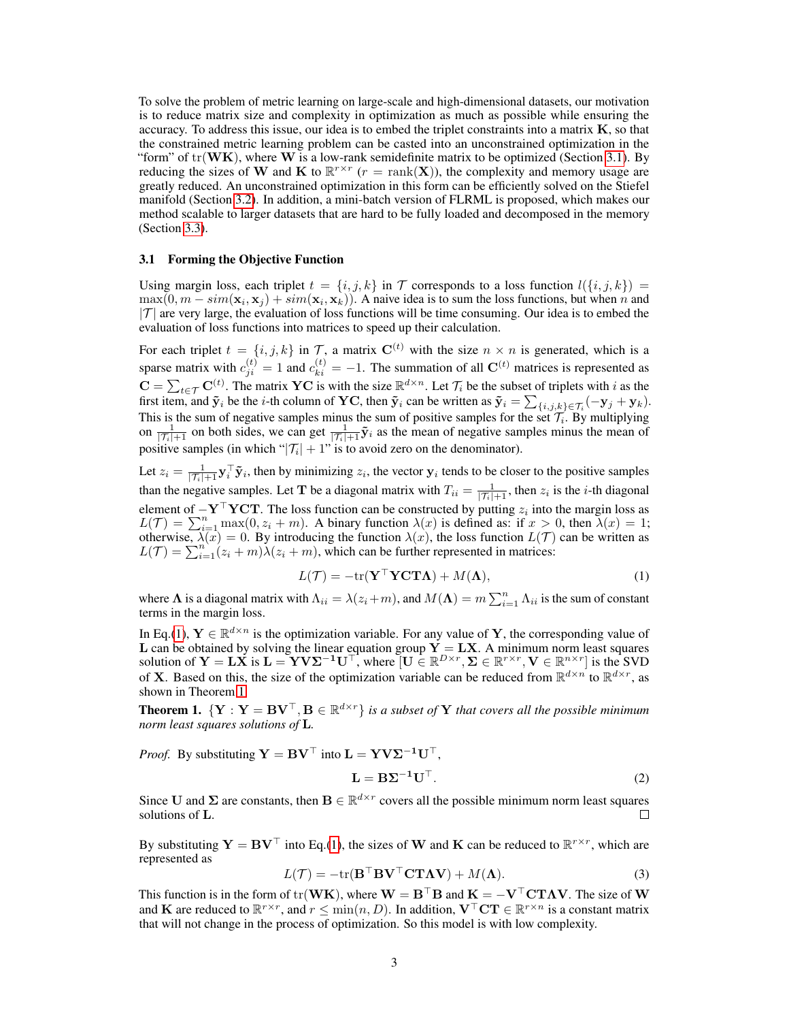To solve the problem of metric learning on large-scale and high-dimensional datasets, our motivation is to reduce matrix size and complexity in optimization as much as possible while ensuring the accuracy. To address this issue, our idea is to embed the triplet constraints into a matrix  $K$ , so that the constrained metric learning problem can be casted into an unconstrained optimization in the "form" of  $tr(\mathbf{W}\mathbf{K})$ , where W is a low-rank semidefinite matrix to be optimized (Section 3.1). By reducing the sizes of W and K to  $\mathbb{R}^{r \times r}$   $(r = \text{rank}(\mathbf{X}))$ , the complexity and memory usage are greatly reduced. An unconstrained optimization in this form can be efficiently solved on the Stiefel manifold (Section 3.2). In addition, a mini-batch version of FLRML is proposed, which makes our method scalable to larger datasets that are hard to be fully loaded and decomposed in the memory (Section 3.3).

## 3.1 Forming the Objective Function

Using margin loss, each triplet  $t = \{i, j, k\}$  in T corresponds to a loss function  $l(\{i, j, k\})$  =  $\max(0, m - sim(\mathbf{x}_i, \mathbf{x}_j) + sim(\mathbf{x}_i, \mathbf{x}_k))$ . A naive idea is to sum the loss functions, but when n and  $|T|$  are very large, the evaluation of loss functions will be time consuming. Our idea is to embed the evaluation of loss functions into matrices to speed up their calculation.

For each triplet  $t = \{i, j, k\}$  in T, a matrix  $C^{(t)}$  with the size  $n \times n$  is generated, which is a sparse matrix with  $c_{ji}^{(t)} = 1$  and  $c_{ki}^{(t)} = -1$ . The summation of all  $\mathbf{C}^{(t)}$  matrices is represented as  $\mathbf{C} = \sum_{t \in \mathcal{T}} \mathbf{C}^{(t)}$ . The matrix YC is with the size  $\mathbb{R}^{d \times n}$ . Let  $\mathcal{T}_i$  be the subset of triplets with i as the first item, and  $\tilde{\mathbf{y}}_i$  be the *i*-th column of **YC**, then  $\tilde{\mathbf{y}}_i$  can be written as  $\tilde{\mathbf{y}}_i = \sum_{\{i,j,k\} \in \mathcal{T}_i} (-\mathbf{y}_j + \mathbf{y}_k)$ . This is the sum of negative samples minus the sum of positive samples for the set  $\mathcal{T}_i$ . By multiplying on  $\frac{1}{|\mathcal{T}_i|+1}$  on both sides, we can get  $\frac{1}{|\mathcal{T}_i|+1}\tilde{\mathbf{y}}_i$  as the mean of negative samples minus the mean of positive samples (in which " $|\mathcal{T}_i| + 1$ " is to avoid zero on the denominator).

Let  $z_i = \frac{1}{|\mathcal{T}_i|+1} \mathbf{y}_i^{\top} \tilde{\mathbf{y}}_i$ , then by minimizing  $z_i$ , the vector  $\mathbf{y}_i$  tends to be closer to the positive samples than the negative samples. Let **T** be a diagonal matrix with  $T_{ii} = \frac{1}{|\mathcal{T}_i|+1}$ , then  $z_i$  is the *i*-th diagonal element of  $-\mathbf{Y}^\top \mathbf{Y} \mathbf{C} \mathbf{T}$ . The loss function can be constructed by putting  $z_i$  into the margin loss as  $L(\mathcal{T}) = \sum_{i=1}^n \max(0, z_i + m)$ . A binary function  $\lambda(x)$  is defined as: if  $x > 0$ , then  $\lambda(x) = 1$ ; otherwise,  $\lambda(x) = 0$ . By introducing the function  $\lambda(x)$ , the loss function  $L(\mathcal{T})$  can be written as  $L(\mathcal{T}) = \sum_{i=1}^{n} (z_i + m) \lambda(z_i + m)$ , which can be further represented in matrices:

$$
L(\mathcal{T}) = -\text{tr}(\mathbf{Y}^\top \mathbf{Y} \mathbf{C} \mathbf{T} \mathbf{\Lambda}) + M(\mathbf{\Lambda}),\tag{1}
$$

where  $\Lambda$  is a diagonal matrix with  $\Lambda_{ii} = \lambda(z_i + m)$ , and  $M(\Lambda) = m \sum_{i=1}^n \Lambda_{ii}$  is the sum of constant terms in the margin loss.

In Eq.(1),  $Y \in \mathbb{R}^{d \times n}$  is the optimization variable. For any value of Y, the corresponding value of **L** can be obtained by solving the linear equation group  $Y = LX$ . A minimum norm least squares solution of  $Y = L\dot{X}$  is  $L = YV\Sigma^{-1}U^{\top}$ , where  $\begin{bmatrix} U \in \mathbb{R}^{D \times r}, \Sigma \in \mathbb{R}^{r \times r}, V \in \mathbb{R}^{n \times r} \end{bmatrix}$  is the SVD of **X**. Based on this, the size of the optimization variable can be reduced from  $\mathbb{R}^{d \times n}$  to  $\mathbb{R}^{d \times r}$ , as shown in Theorem 1.

**Theorem 1.**  $\{Y: Y = BV^\top, B \in \mathbb{R}^{d \times r}\}$  is a subset of Y that covers all the possible minimum *norm least squares solutions of* L*.*

*Proof.* By substituting 
$$
\mathbf{Y} = \mathbf{B} \mathbf{V}^\top
$$
 into  $\mathbf{L} = \mathbf{Y} \mathbf{V} \mathbf{\Sigma}^{-1} \mathbf{U}^\top$ ,  
\n
$$
\mathbf{L} = \mathbf{B} \mathbf{\Sigma}^{-1} \mathbf{U}^\top.
$$
 (2)

Since U and  $\Sigma$  are constants, then  $B \in \mathbb{R}^{d \times r}$  covers all the possible minimum norm least squares solutions of L. П

By substituting  $Y = BV^{\top}$  into Eq.(1), the sizes of W and K can be reduced to  $\mathbb{R}^{r \times r}$ , which are represented as

$$
L(\mathcal{T}) = -\text{tr}(\mathbf{B}^{\top} \mathbf{B} \mathbf{V}^{\top} \mathbf{C} \mathbf{T} \mathbf{\Lambda} \mathbf{V}) + M(\mathbf{\Lambda}).
$$
\n(3)

This function is in the form of tr(WK), where  $W = B^{\top}B$  and  $K = -V^{\top}CT\Lambda V$ . The size of W and **K** are reduced to  $\mathbb{R}^{r \times r}$ , and  $r \le \min(n, D)$ . In addition,  $V^{\top} C T \in \mathbb{R}^{r \times n}$  is a constant matrix that will not change in the process of optimization. So this model is with low complexity.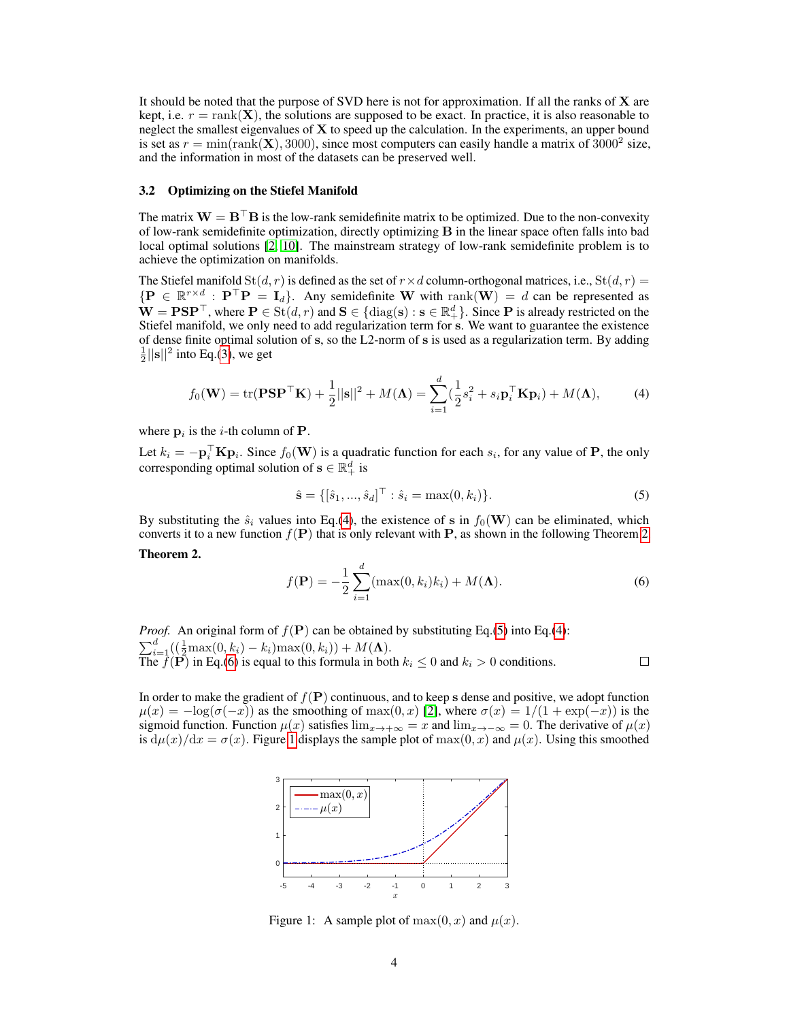It should be noted that the purpose of SVD here is not for approximation. If all the ranks of X are kept, i.e.  $r = \text{rank}(\mathbf{X})$ , the solutions are supposed to be exact. In practice, it is also reasonable to neglect the smallest eigenvalues of  $X$  to speed up the calculation. In the experiments, an upper bound is set as  $r = \min(\text{rank}(\mathbf{X}), 3000)$ , since most computers can easily handle a matrix of  $3000^2$  size, and the information in most of the datasets can be preserved well.

## 3.2 Optimizing on the Stiefel Manifold

The matrix  $W = B^\top B$  is the low-rank semidefinite matrix to be optimized. Due to the non-convexity of low-rank semidefinite optimization, directly optimizing B in the linear space often falls into bad local optimal solutions [2, 10]. The mainstream strategy of low-rank semidefinite problem is to achieve the optimization on manifolds.

The Stiefel manifold  $St(d, r)$  is defined as the set of  $r \times d$  column-orthogonal matrices, i.e.,  $St(d, r)$  =  ${ {\bf P} \in \mathbb{R}^{r \times d} : {\bf P}^\top {\bf P} = {\bf I}_d }$ . Any semidefinite W with rank ${({\bf W})} = d$  can be represented as  $\mathbf{W} = \mathbf{P} \mathbf{S} \mathbf{P}^{\top}$ , where  $\mathbf{P} \in \text{St}(d, r)$  and  $\mathbf{S} \in \{\text{diag}(\mathbf{s}) : \mathbf{s} \in \mathbb{R}_+^d\}$ . Since  $\mathbf{P}$  is already restricted on the Stiefel manifold, we only need to add regularization term for s. We want to guarantee the existence of dense finite optimal solution of s, so the L2-norm of s is used as a regularization term. By adding  $\frac{1}{2}$ ||s||<sup>2</sup> into Eq.(3), we get

$$
f_0(\mathbf{W}) = \text{tr}(\mathbf{P}\mathbf{S}\mathbf{P}^\top \mathbf{K}) + \frac{1}{2}||\mathbf{s}||^2 + M(\mathbf{\Lambda}) = \sum_{i=1}^d (\frac{1}{2}s_i^2 + s_i \mathbf{p}_i^\top \mathbf{K} \mathbf{p}_i) + M(\mathbf{\Lambda}),\tag{4}
$$

where  $\mathbf{p}_i$  is the *i*-th column of **P**.

Let  $k_i = -\mathbf{p}_i^\top \mathbf{K} \mathbf{p}_i$ . Since  $f_0(\mathbf{W})$  is a quadratic function for each  $s_i$ , for any value of P, the only corresponding optimal solution of  $\mathbf{s} \in \mathbb{R}_+^d$  is

$$
\hat{\mathbf{s}} = \{ [\hat{s}_1, ..., \hat{s}_d]^\top : \hat{s}_i = \max(0, k_i) \}.
$$
 (5)

By substituting the  $\hat{s}_i$  values into Eq.(4), the existence of s in  $f_0(\mathbf{W})$  can be eliminated, which converts it to a new function  $f(\mathbf{P})$  that is only relevant with P, as shown in the following Theorem 2. Theorem 2.

$$
f(\mathbf{P}) = -\frac{1}{2} \sum_{i=1}^{d} (\max(0, k_i)k_i) + M(\mathbf{\Lambda}).
$$
 (6)

*Proof.* An original form of  $f(\mathbf{P})$  can be obtained by substituting Eq.(5) into Eq.(4):  $\sum_{i=1}^{d} \left( \frac{1}{2} \max(0, k_i) - k_i \right) \max(0, k_i) + M(\Lambda).$ The  $f(\mathbf{P})$  in Eq.(6) is equal to this formula in both  $k_i \leq 0$  and  $k_i > 0$  conditions.

 $\Box$ 

In order to make the gradient of  $f(\mathbf{P})$  continuous, and to keep s dense and positive, we adopt function  $\mu(x) = -\log(\sigma(-x))$  as the smoothing of max $(0, x)$  [2], where  $\sigma(x) = 1/(1 + \exp(-x))$  is the sigmoid function. Function  $\mu(x)$  satisfies  $\lim_{x\to+\infty} = x$  and  $\lim_{x\to-\infty} = 0$ . The derivative of  $\mu(x)$ is  $d\mu(x)/dx = \sigma(x)$ . Figure 1 displays the sample plot of  $max(0, x)$  and  $\mu(x)$ . Using this smoothed



Figure 1: A sample plot of  $max(0, x)$  and  $\mu(x)$ .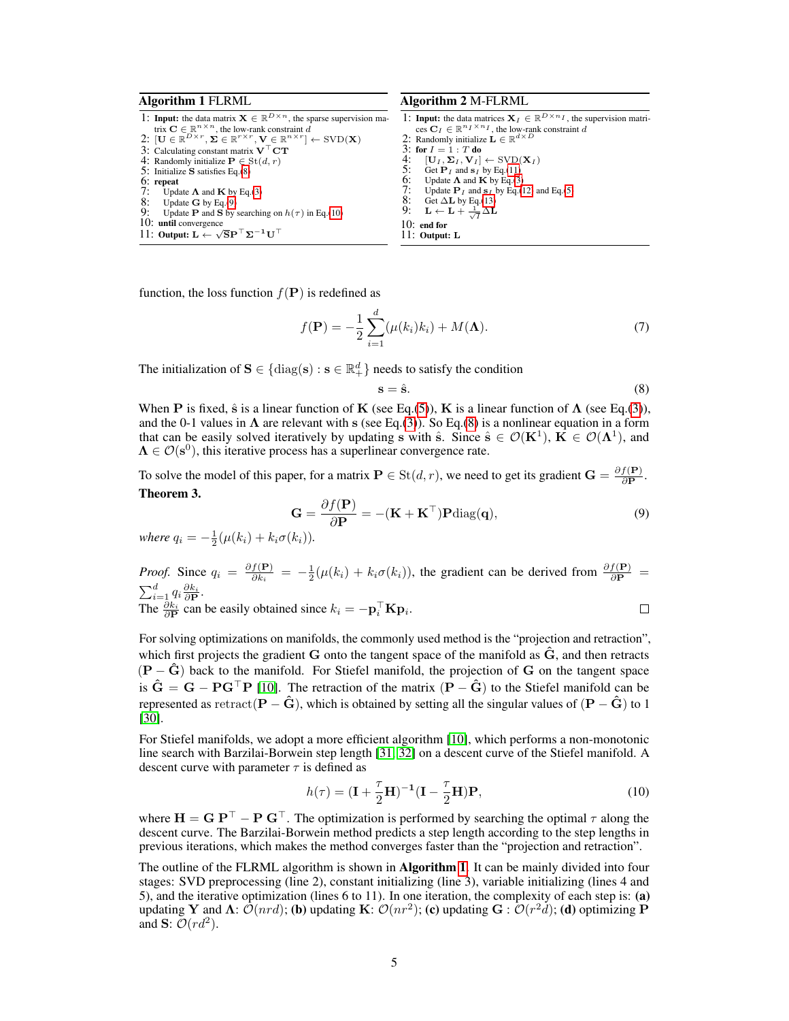### Algorithm 1 FLRML

1: **Input:** the data matrix  $X \in \mathbb{R}^{D \times n}$ , the sparse supervision matrix  $\mathbf{C} \in \mathbb{R}^{n \times n}$ , the low-rank constraint  $d$ <br>2:  $[\mathbf{U} \in \mathbb{R}^{D \times r}, \mathbf{\Sigma} \in \mathbb{R}^{r \times r}, \mathbf{V} \in \mathbb{R}^{n \times r}] \leftarrow \text{SVD}(\mathbf{X})$ 3: Calculating constant matrix  $\mathbf{V}^\top \mathbf{C} \mathbf{T}$ 4: Randomly initialize  $P \in \text{St}(d, r)$ 5: Initialize S satisfies Eq.(8)  $6:$  repeat<br> $7:$  Unda 7: Update  $\Lambda$  and  $\mathbf{K}$  by Eq.(3)<br>8: Update  $\mathbf{G}$  by Eq.(9)<br>9: Undate P and S by searchi Update **G** by Eq.(9) Update **P** and **S** by searching on  $h(\tau)$  in Eq.(10) 10: until convergence 11: Output:  $\mathbf{L} \leftarrow \sqrt{\mathbf{S}} \mathbf{P}^{\top} \mathbf{\Sigma}^{-1} \mathbf{U}^{\top}$ 

#### Algorithm 2 M-FLRML

1: **Input:** the data matrices  $X_I \in \mathbb{R}^{D \times n_I}$ , the supervision matrices  $C_I \in \mathbb{R}^{n_I \times n_I}$ , the low-rank constraint d<br>2: Randomly initialize  $\mathbf{L} \in \mathbb{R}^{d \times D}$ 3: for  $I = 1 : T$  do<br>4. [II,  $\Sigma$ ,  $V$ <sub>r</sub>] 4:  $[\mathbf{U}_I, \mathbf{\Sigma}_I, \mathbf{V}_I] \leftarrow \text{SVD}(\mathbf{X}_I)$ <br>5: Get  $\mathbf{P}_I$  and  $\mathbf{s}_I$  by Eq.(11) 5: Get  $P_I$  and  $S_I$  by Eq.(11)<br>6: Update  $\Lambda$  and  $K$  by Eq.(3)<br>7: Undate  $P_I$  and  $S_I$  by Eq.( Update  $\Lambda$  and  $\tilde{K}$  by Eq.(3) 7: Update  $P_I$  and  $s_I$  by Eq.(12) and Eq.(5)<br>8: Get  $\Delta L$  by Eq.(13) 8: Get  $\Delta$ **L** by Eq.(13)<br>9: **L** ← **L** +  $\frac{1}{\sqrt{2}}\Delta$ **L** 9:  $\mathbf{L} \leftarrow \mathbf{L} + \frac{1}{\sqrt{I}} \Delta \mathbf{L}$ 10: end for 11: Output: L

function, the loss function  $f(\mathbf{P})$  is redefined as

$$
f(\mathbf{P}) = -\frac{1}{2} \sum_{i=1}^{d} (\mu(k_i)k_i) + M(\mathbf{\Lambda}).
$$
 (7)

The initialization of  $\mathbf{S} \in \{\text{diag}(\mathbf{s}) : \mathbf{s} \in \mathbb{R}_+^d\}$  needs to satisfy the condition

$$
s = \hat{s}.\tag{8}
$$

When P is fixed,  $\hat{s}$  is a linear function of K (see Eq.(5)), K is a linear function of  $\Lambda$  (see Eq.(3)), and the 0-1 values in  $\Lambda$  are relevant with s (see Eq.(3)). So Eq.(8) is a nonlinear equation in a form that can be easily solved iteratively by updating s with  $\hat{\mathbf{s}}$ . Since  $\hat{\mathbf{s}} \in \mathcal{O}(\mathbf{K}^1)$ ,  $\hat{\mathbf{K}} \in \mathcal{O}(\mathbf{\Lambda}^1)$ , and  $\Lambda \in \mathcal{O}(\mathbf{s}^0)$ , this iterative process has a superlinear convergence rate.

To solve the model of this paper, for a matrix  $P \in St(d, r)$ , we need to get its gradient  $G = \frac{\partial f(P)}{\partial P}$  $rac{J(\mathbf{P})}{\partial \mathbf{P}}$ . Theorem 3.

$$
\mathbf{G} = \frac{\partial f(\mathbf{P})}{\partial \mathbf{P}} = -(\mathbf{K} + \mathbf{K}^{\top}) \mathbf{P} \text{diag}(\mathbf{q}),\tag{9}
$$

where 
$$
q_i = -\frac{1}{2}(\mu(k_i) + k_i \sigma(k_i)).
$$

*Proof.* Since  $q_i = \frac{\partial f(\mathbf{P})}{\partial k_i}$  $\frac{f(\mathbf{P})}{\partial k_i} = -\frac{1}{2}(\mu(k_i) + k_i \sigma(k_i))$ , the gradient can be derived from  $\frac{\partial f(\mathbf{P})}{\partial \mathbf{P}} =$  $\sum_{i=1}^d q_i \frac{\partial k_i}{\partial \mathbf{P}}.$ 

The  $\frac{\partial k_i}{\partial \mathbf{P}}$  can be easily obtained since  $k_i = -\mathbf{p}_i^\top \mathbf{K} \mathbf{p}_i$ .

$$
\qquad \qquad \Box
$$

For solving optimizations on manifolds, the commonly used method is the "projection and retraction", which first projects the gradient  $G$  onto the tangent space of the manifold as  $\tilde{G}$ , and then retracts  $(P - \tilde{G})$  back to the manifold. For Stiefel manifold, the projection of G on the tangent space is  $\hat{G} = G - P G^{\top} P$  [10]. The retraction of the matrix  $(P - \hat{G})$  to the Stiefel manifold can be represented as retract( $\mathbf{P} - \hat{\mathbf{G}}$ ), which is obtained by setting all the singular values of ( $\mathbf{P} - \hat{\mathbf{G}}$ ) to 1 [30].

For Stiefel manifolds, we adopt a more efficient algorithm [10], which performs a non-monotonic line search with Barzilai-Borwein step length [31, 32] on a descent curve of the Stiefel manifold. A descent curve with parameter  $\tau$  is defined as

$$
h(\tau) = (\mathbf{I} + \frac{\tau}{2}\mathbf{H})^{-1}(\mathbf{I} - \frac{\tau}{2}\mathbf{H})\mathbf{P},\tag{10}
$$

where  $H = G P^{\top} - P G^{\top}$ . The optimization is performed by searching the optimal  $\tau$  along the descent curve. The Barzilai-Borwein method predicts a step length according to the step lengths in previous iterations, which makes the method converges faster than the "projection and retraction".

The outline of the FLRML algorithm is shown in **Algorithm 1**. It can be mainly divided into four stages: SVD preprocessing (line 2), constant initializing (line 3), variable initializing (lines 4 and 5), and the iterative optimization (lines 6 to 11). In one iteration, the complexity of each step is: (a) updating Y and  $\Lambda: \mathcal{O}(nrd)$ ; (b) updating K:  $\mathcal{O}(nr^2)$ ; (c) updating G :  $\mathcal{O}(r^2d)$ ; (d) optimizing P and S:  $\mathcal{O}(r d^2)$ .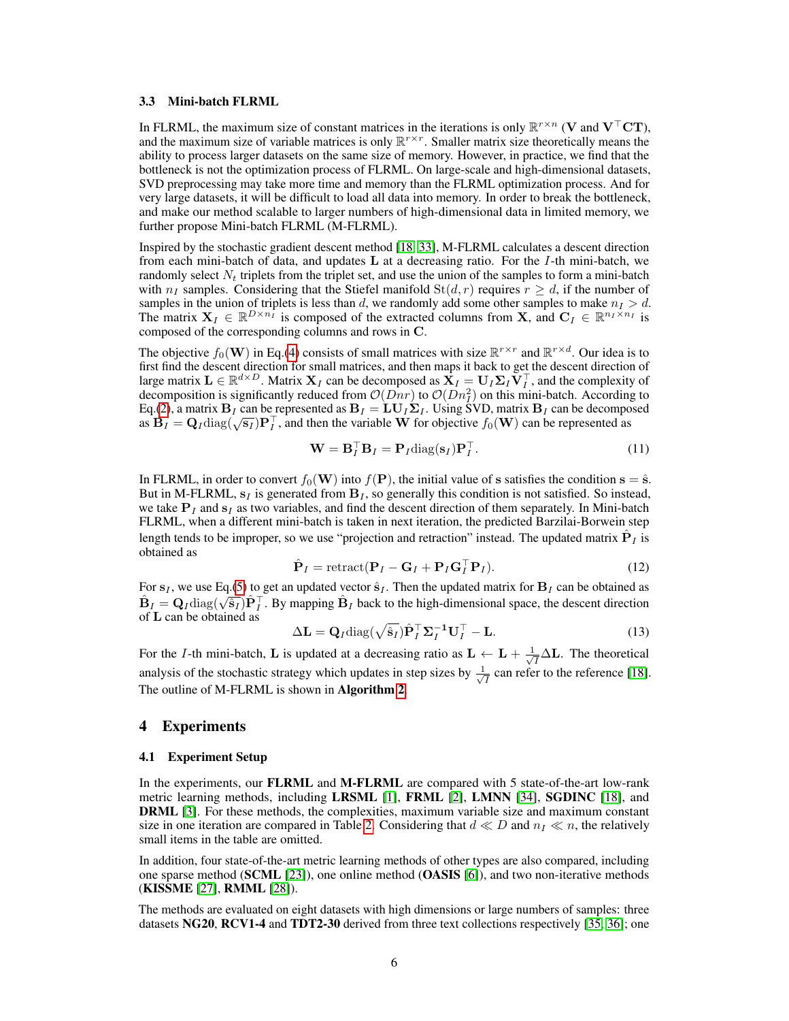#### 3.3 Mini-batch FLRML

In FLRML, the maximum size of constant matrices in the iterations is only  $\mathbb{R}^{r \times n}$  (V and  $V^{\top}CT$ ), and the maximum size of variable matrices is only  $\mathbb{R}^{r \times r}$ . Smaller matrix size theoretically means the ability to process larger datasets on the same size of memory. However, in practice, we find that the bottleneck is not the optimization process of FLRML. On large-scale and high-dimensional datasets, SVD preprocessing may take more time and memory than the FLRML optimization process. And for very large datasets, it will be difficult to load all data into memory. In order to break the bottleneck, and make our method scalable to larger numbers of high-dimensional data in limited memory, we further propose Mini-batch FLRML (M-FLRML).

Inspired by the stochastic gradient descent method [18, 33], M-FLRML calculates a descent direction from each mini-batch of data, and updates  $L$  at a decreasing ratio. For the I-th mini-batch, we randomly select  $N_t$  triplets from the triplet set, and use the union of the samples to form a mini-batch with  $n_I$  samples. Considering that the Stiefel manifold  $St(d, r)$  requires  $r \geq d$ , if the number of samples in the union of triplets is less than d, we randomly add some other samples to make  $n<sub>I</sub> > d$ . The matrix  $X_I \in \mathbb{R}^{D \times n_I}$  is composed of the extracted columns from X, and  $C_I \in \mathbb{R}^{n_I \times n_I}$  is composed of the corresponding columns and rows in C.

The objective  $f_0(\mathbf{W})$  in Eq.(4) consists of small matrices with size  $\mathbb{R}^{r \times r}$  and  $\mathbb{R}^{r \times d}$ . Our idea is to first find the descent direction for small matrices, and then maps it back to get the descent direction of large matrix  $\mathbf{L} \in \mathbb{R}^{d \times D}$ . Matrix  $\mathbf{X}_I$  can be decomposed as  $\mathbf{X}_I = \mathbf{U}_I \mathbf{\Sigma}_I \tilde{\mathbf{V}}_I^\top$ , and the complexity of decomposition is significantly reduced from  $\mathcal{O}(Dnr)$  to  $\mathcal{O}(Dn_f^2)$  on this mini-batch. According to Eq.(2), a matrix  $B_I$  can be represented as  $B_I = LU_I\Sigma_I$ . Using SVD, matrix  $B_I$  can be decomposed  $\mathbf{B}_I = \mathbf{Q}_I$ diag $(\sqrt{s_I})\mathbf{P}_I^{\top}$ , and then the variable W for objective  $f_0(\mathbf{W})$  can be represented as  $\mathbf{B}_I = \mathbf{Q}_I$ diag $(\sqrt{s_I})\mathbf{P}_I^{\top}$ , and then the variable W for objective  $f_0(\mathbf{W})$  can be represente

$$
\mathbf{W} = \mathbf{B}_I^\top \mathbf{B}_I = \mathbf{P}_I \text{diag}(\mathbf{s}_I) \mathbf{P}_I^\top.
$$
 (11)

In FLRML, in order to convert  $f_0(\mathbf{W})$  into  $f(\mathbf{P})$ , the initial value of s satisfies the condition  $s = \hat{s}$ . But in M-FLRML,  $s_I$  is generated from  $B_I$ , so generally this condition is not satisfied. So instead, we take  $P<sub>I</sub>$  and  $s<sub>I</sub>$  as two variables, and find the descent direction of them separately. In Mini-batch FLRML, when a different mini-batch is taken in next iteration, the predicted Barzilai-Borwein step length tends to be improper, so we use "projection and retraction" instead. The updated matrix  $\hat{\mathbf{P}}_I$  is obtained as

$$
\hat{\mathbf{P}}_I = \text{retract}(\mathbf{P}_I - \mathbf{G}_I + \mathbf{P}_I \mathbf{G}_I^\top \mathbf{P}_I). \tag{12}
$$

For  $s_I$ , we use Eq.(5) to get an updated vector  $\hat{s}_I$ . Then the updated matrix for  $B_I$  can be obtained as For  $\mathbf{s}_I$ , we use Eq.(3) to get an updated vector  $\mathbf{s}_I$ . Then the updated matrix for  $\mathbf{B}_I$  can be obtained as  $\hat{\mathbf{B}}_I = \mathbf{Q}_I \text{diag}(\sqrt{\hat{\mathbf{s}}_I}) \hat{\mathbf{P}}_I^T$ . By mapping  $\hat{\mathbf{B}}_I$  back to the high-dimension of L can be obtained as

$$
\Delta \mathbf{L} = \mathbf{Q}_I \text{diag}(\sqrt{\hat{\mathbf{s}}_I}) \hat{\mathbf{P}}_I^\top \mathbf{\Sigma}_I^{-1} \mathbf{U}_I^\top - \mathbf{L}.
$$
 (13)

For the I-th mini-batch, L is updated at a decreasing ratio as  $L \leftarrow L + \frac{1}{\sqrt{2}}$  $\frac{1}{I} \Delta L$ . The theoretical analysis of the stochastic strategy which updates in step sizes by  $\frac{1}{\sqrt{2}}$  $\frac{1}{I}$  can refer to the reference [18]. The outline of M-FLRML is shown in Algorithm 2.

## 4 Experiments

#### 4.1 Experiment Setup

In the experiments, our **FLRML** and **M-FLRML** are compared with 5 state-of-the-art low-rank metric learning methods, including LRSML [1], FRML [2], LMNN [34], SGDINC [18], and DRML [3]. For these methods, the complexities, maximum variable size and maximum constant size in one iteration are compared in Table 2. Considering that  $d \ll D$  and  $n<sub>I</sub> \ll n$ , the relatively small items in the table are omitted.

In addition, four state-of-the-art metric learning methods of other types are also compared, including one sparse method (SCML  $[23]$ ), one online method (OASIS  $[6]$ ), and two non-iterative methods (KISSME [27], RMML [28]).

The methods are evaluated on eight datasets with high dimensions or large numbers of samples: three datasets NG20, RCV1-4 and TDT2-30 derived from three text collections respectively [35, 36]; one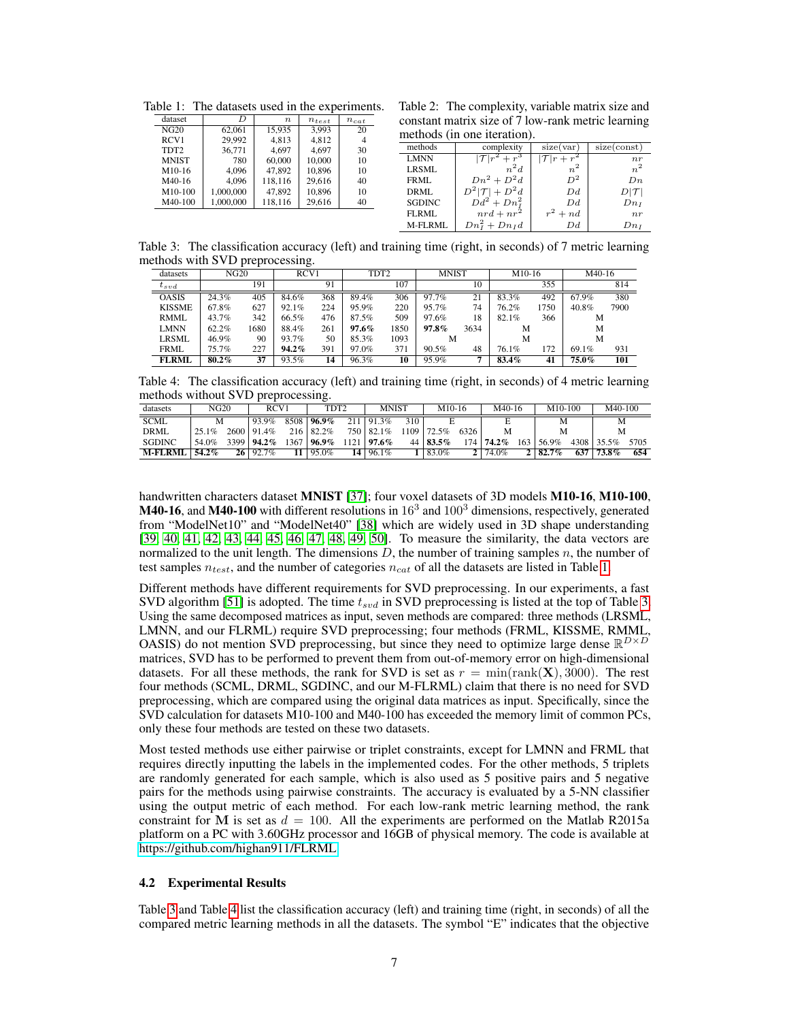| Table 1: The datasets used in the experiments. |           |                  |            |           |  |  |  |  |  |  |  |
|------------------------------------------------|-----------|------------------|------------|-----------|--|--|--|--|--|--|--|
| dataset                                        | D         | $\boldsymbol{n}$ | $n_{test}$ | $n_{cat}$ |  |  |  |  |  |  |  |
| NG20                                           | 62.061    | 15,935           | 3,993      | 20        |  |  |  |  |  |  |  |
| RCV1                                           | 29,992    | 4,813            | 4,812      | 4         |  |  |  |  |  |  |  |
| TDT <sub>2</sub>                               | 36,771    | 4.697            | 4.697      | 30        |  |  |  |  |  |  |  |
| <b>MNIST</b>                                   | 780       | 60,000           | 10,000     | 10        |  |  |  |  |  |  |  |
| M10-16                                         | 4.096     | 47,892           | 10,896     | 10        |  |  |  |  |  |  |  |
| M40-16                                         | 4.096     | 118,116          | 29,616     | 40        |  |  |  |  |  |  |  |
| M10-100                                        | 1,000,000 | 47,892           | 10,896     | 10        |  |  |  |  |  |  |  |
| M40-100                                        | 1,000,000 | 118,116          | 29,616     | 40        |  |  |  |  |  |  |  |

Table 2: The complexity, variable matrix size and constant matrix size of 7 low-rank metric learning methods (in one iteration).

| methods       | complexity              | size(var)        | size(const)      |  |  |  |  |  |  |  |  |  |
|---------------|-------------------------|------------------|------------------|--|--|--|--|--|--|--|--|--|
| <b>LMNN</b>   | $ \mathcal{T} r^2+r^3$  | $ \mathcal{T} r$ | n r              |  |  |  |  |  |  |  |  |  |
| LRSML         | $n^2d$                  | $n^2$            | $n^2$            |  |  |  |  |  |  |  |  |  |
| FRML          | $Dn^2 + D^2d$           | $D^2$            | $D_n$            |  |  |  |  |  |  |  |  |  |
| DRML          | $D^2 \mathcal{T} +D^2d$ | Dd               | $D \mathcal{T} $ |  |  |  |  |  |  |  |  |  |
| <b>SGDINC</b> | $Dd^2 + Dn_I^2$         | Dd               | $Dn_I$           |  |  |  |  |  |  |  |  |  |
| FLRML         | $nrd + nr^2$            | $r^2+nd$         | n r              |  |  |  |  |  |  |  |  |  |
| M-FLRML       | $Dn_I^2 + Dn_I d$       | Dd               | $Dn_I$           |  |  |  |  |  |  |  |  |  |

Table 3: The classification accuracy (left) and training time (right, in seconds) of 7 metric learning methods with SVD preprocessing.

|               |              |      | ຼ                |     |              |      |          |      |          |      |       |      |
|---------------|--------------|------|------------------|-----|--------------|------|----------|------|----------|------|-------|------|
| datasets      | NG20<br>RCV1 |      | TDT <sub>2</sub> |     | <b>MNIST</b> |      | $M10-16$ |      | $M40-16$ |      |       |      |
| $t_{svd}$     |              | 191  |                  | 91  |              | 107  |          | 10   |          | 355  |       | 814  |
| <b>OASIS</b>  | 24.3%        | 405  | 84.6%            | 368 | 89.4%        | 306  | 97.7%    | 21   | 83.3%    | 492  | 67.9% | 380  |
| <b>KISSME</b> | 67.8%        | 627  | 92.1%            | 224 | 95.9%        | 220  | 95.7%    | 74   | 76.2%    | 1750 | 40.8% | 7900 |
| <b>RMML</b>   | 43.7%        | 342  | 66.5%            | 476 | 87.5%        | 509  | 97.6%    | 18   | 82.1%    | 366  | М     |      |
| <b>LMNN</b>   | 62.2%        | 1680 | 88.4%            | 261 | $97.6\%$     | 1850 | 97.8%    | 3634 | M        |      | М     |      |
| <b>LRSML</b>  | 46.9%        | 90   | 93.7%            | 50  | 85.3%        | 1093 | M        |      | М        |      | М     |      |
| <b>FRML</b>   | 75.7%        | 227  | 94.2%            | 391 | 97.0%        | 371  | 90.5%    | 48   | 76.1%    | 172  | 69.1% | 931  |
| <b>FLRML</b>  | $80.2\%$     | 37   | 93.5%            | 14  | 96.3%        | 10   | 95.9%    |      | 83.4%    | 41   | 75.0% | 101  |

Table 4: The classification accuracy (left) and training time (right, in seconds) of 4 metric learning methods without SVD preprocessing.

| datasets       | NG20     |          | RCV1     |      | TDT2              |     | <b>MNIST</b> |     | $M10-16$ |                  | M40-16   |     | $M10-100$       |      | M40-100  |      |
|----------------|----------|----------|----------|------|-------------------|-----|--------------|-----|----------|------------------|----------|-----|-----------------|------|----------|------|
| <b>SCML</b>    |          |          | 93.9%    | 8508 | $196.9\%$         | 211 | 91.3%        | 310 |          |                  |          |     | М               |      | M        |      |
| <b>DRML</b>    | $25.1\%$ | $2600 -$ | 91.4%    |      | $216 \mid 82.2\%$ |     | 750 82.1%    | 109 | 72.5%    | 6326             |          |     | М               |      | M        |      |
| <b>SGDINC</b>  | 54.0%    | 3399     | $94.2\%$ | 1367 | $96.9\%$          |     | $97.6\%$     | 44  | $83.5\%$ | 174 <sub>1</sub> | $74.2\%$ | 163 | 56.9%           | 4308 | 35.5%    | 5705 |
| <b>M-FLRMI</b> | $54.2\%$ | 26       | $92.7\%$ |      | 95.0%             | 14  | 96.1%        |     | $83.0\%$ |                  | $74.0\%$ |     | $2 \mid 82.7\%$ | 637  | $73.8\%$ | 654  |

handwritten characters dataset MNIST [37]; four voxel datasets of 3D models M10-16, M10-100, **M40-16**, and **M40-100** with different resolutions in  $16<sup>3</sup>$  and  $100<sup>3</sup>$  dimensions, respectively, generated from "ModelNet10" and "ModelNet40" [38] which are widely used in 3D shape understanding [39, 40, 41, 42, 43, 44, 45, 46, 47, 48, 49, 50]. To measure the similarity, the data vectors are normalized to the unit length. The dimensions  $D$ , the number of training samples  $n$ , the number of test samples  $n_{test}$ , and the number of categories  $n_{cat}$  of all the datasets are listed in Table 1.

Different methods have different requirements for SVD preprocessing. In our experiments, a fast SVD algorithm [51] is adopted. The time  $t<sub>svd</sub>$  in SVD preprocessing is listed at the top of Table 3. Using the same decomposed matrices as input, seven methods are compared: three methods (LRSML, LMNN, and our FLRML) require SVD preprocessing; four methods (FRML, KISSME, RMML, OASIS) do not mention SVD preprocessing, but since they need to optimize large dense  $\mathbb{R}^{D\times D}$ matrices, SVD has to be performed to prevent them from out-of-memory error on high-dimensional datasets. For all these methods, the rank for SVD is set as  $r = \min(\text{rank}(\mathbf{X}), 3000)$ . The rest four methods (SCML, DRML, SGDINC, and our M-FLRML) claim that there is no need for SVD preprocessing, which are compared using the original data matrices as input. Specifically, since the SVD calculation for datasets M10-100 and M40-100 has exceeded the memory limit of common PCs, only these four methods are tested on these two datasets.

Most tested methods use either pairwise or triplet constraints, except for LMNN and FRML that requires directly inputting the labels in the implemented codes. For the other methods, 5 triplets are randomly generated for each sample, which is also used as 5 positive pairs and 5 negative pairs for the methods using pairwise constraints. The accuracy is evaluated by a 5-NN classifier using the output metric of each method. For each low-rank metric learning method, the rank constraint for M is set as  $d = 100$ . All the experiments are performed on the Matlab R2015a platform on a PC with 3.60GHz processor and 16GB of physical memory. The code is available at [https://github.com/highan911/FLRML.](https://github.com/highan911/FLRML)

## 4.2 Experimental Results

Table 3 and Table 4 list the classification accuracy (left) and training time (right, in seconds) of all the compared metric learning methods in all the datasets. The symbol "E" indicates that the objective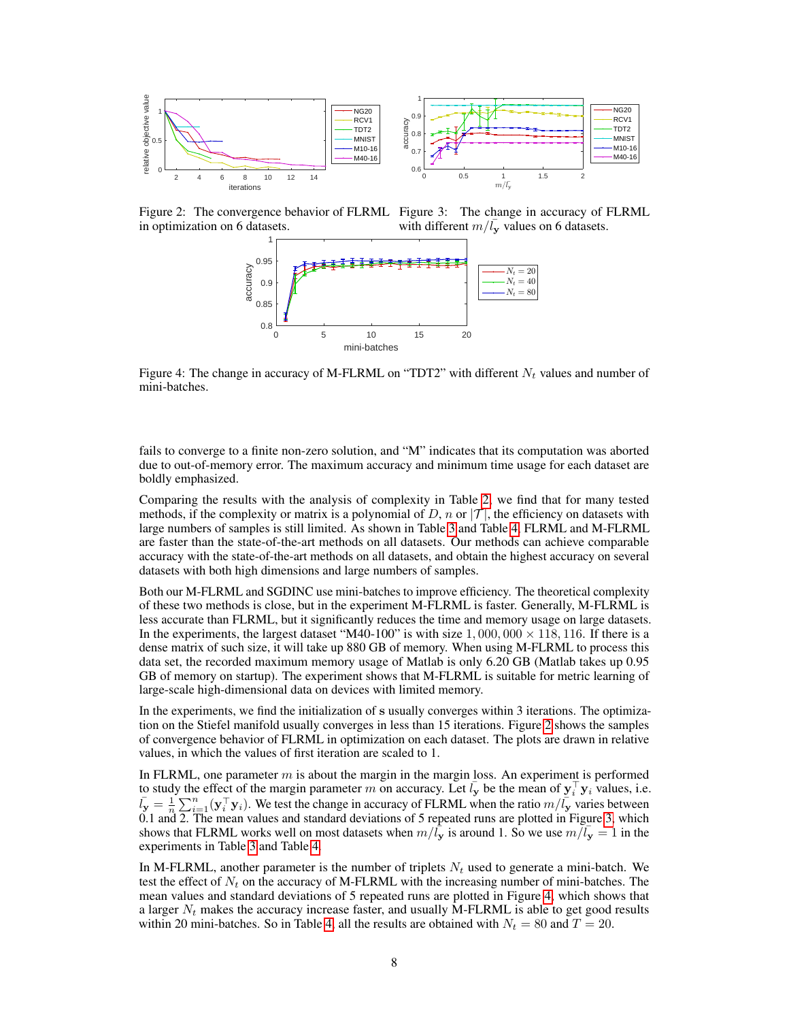

Figure 2: The convergence behavior of FLRML Figure 3: The change in accuracy of FLRML in optimization on 6 datasets.

with different  $m/\bar{l}_{\mathbf{y}}$  values on 6 datasets.



Figure 4: The change in accuracy of M-FLRML on "TDT2" with different  $N_t$  values and number of mini-batches.

fails to converge to a finite non-zero solution, and "M" indicates that its computation was aborted due to out-of-memory error. The maximum accuracy and minimum time usage for each dataset are boldly emphasized.

Comparing the results with the analysis of complexity in Table 2, we find that for many tested methods, if the complexity or matrix is a polynomial of D, n or  $|\mathcal{T}|$ , the efficiency on datasets with large numbers of samples is still limited. As shown in Table 3 and Table 4, FLRML and M-FLRML are faster than the state-of-the-art methods on all datasets. Our methods can achieve comparable accuracy with the state-of-the-art methods on all datasets, and obtain the highest accuracy on several datasets with both high dimensions and large numbers of samples.

Both our M-FLRML and SGDINC use mini-batches to improve efficiency. The theoretical complexity of these two methods is close, but in the experiment M-FLRML is faster. Generally, M-FLRML is less accurate than FLRML, but it significantly reduces the time and memory usage on large datasets. In the experiments, the largest dataset "M40-100" is with size  $1,000,000 \times 118,116$ . If there is a dense matrix of such size, it will take up 880 GB of memory. When using M-FLRML to process this data set, the recorded maximum memory usage of Matlab is only 6.20 GB (Matlab takes up 0.95 GB of memory on startup). The experiment shows that M-FLRML is suitable for metric learning of large-scale high-dimensional data on devices with limited memory.

In the experiments, we find the initialization of s usually converges within 3 iterations. The optimization on the Stiefel manifold usually converges in less than 15 iterations. Figure 2 shows the samples of convergence behavior of FLRML in optimization on each dataset. The plots are drawn in relative values, in which the values of first iteration are scaled to 1.

In FLRML, one parameter  $m$  is about the margin in the margin loss. An experiment is performed to study the effect of the margin parameter m on accuracy. Let  $l_y$  be the mean of  $y_i^{\top} y_i$  values, i.e.  $\bar{l}_y = \frac{1}{n} \sum_{i=1}^n (\mathbf{y}_i^\top \mathbf{y}_i)$ . We test the change in accuracy of FLRML when the ratio  $m/\bar{l}_y$  varies between 0.1 and 2. The mean values and standard deviations of 5 repeated runs are plotted in Figure 3, which shows that FLRML works well on most datasets when  $m/\bar{l}_{\rm y}$  is around 1. So we use  $m/\bar{l}_{\rm y} = 1$  in the experiments in Table 3 and Table 4.

In M-FLRML, another parameter is the number of triplets  $N_t$  used to generate a mini-batch. We test the effect of  $N_t$  on the accuracy of M-FLRML with the increasing number of mini-batches. The mean values and standard deviations of 5 repeated runs are plotted in Figure 4, which shows that a larger  $N_t$  makes the accuracy increase faster, and usually M-FLRML is able to get good results within 20 mini-batches. So in Table 4, all the results are obtained with  $N_t = 80$  and  $T = 20$ .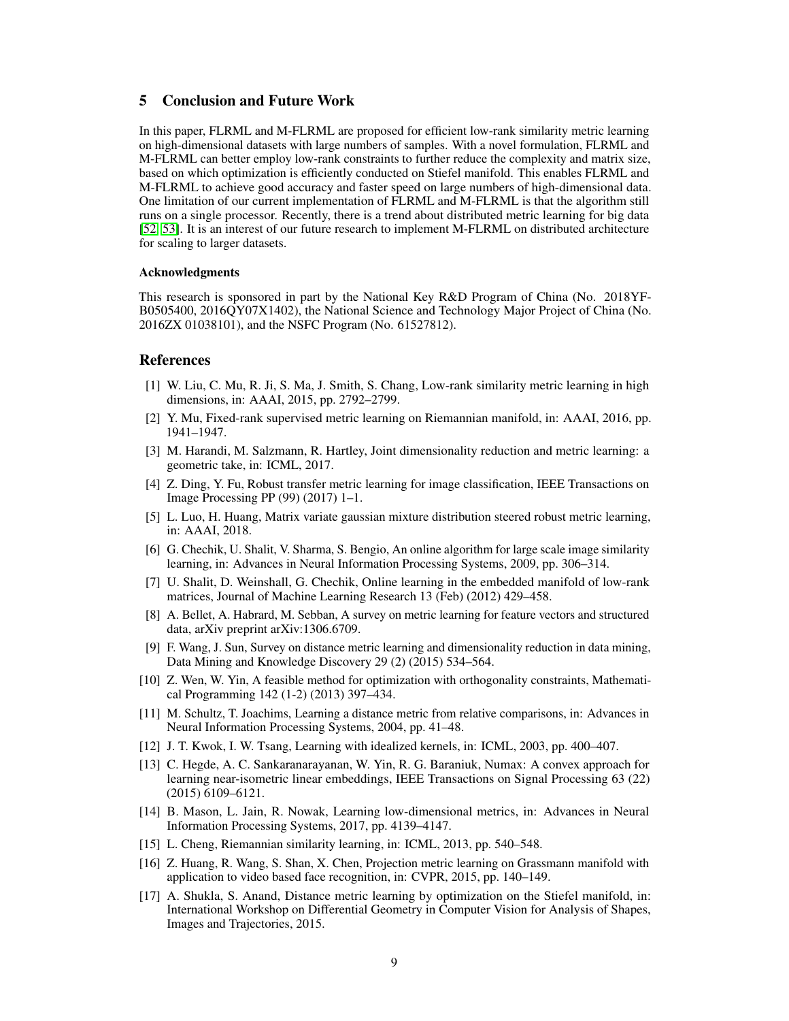# 5 Conclusion and Future Work

In this paper, FLRML and M-FLRML are proposed for efficient low-rank similarity metric learning on high-dimensional datasets with large numbers of samples. With a novel formulation, FLRML and M-FLRML can better employ low-rank constraints to further reduce the complexity and matrix size, based on which optimization is efficiently conducted on Stiefel manifold. This enables FLRML and M-FLRML to achieve good accuracy and faster speed on large numbers of high-dimensional data. One limitation of our current implementation of FLRML and M-FLRML is that the algorithm still runs on a single processor. Recently, there is a trend about distributed metric learning for big data [52, 53]. It is an interest of our future research to implement M-FLRML on distributed architecture for scaling to larger datasets.

#### Acknowledgments

This research is sponsored in part by the National Key R&D Program of China (No. 2018YF-B0505400, 2016QY07X1402), the National Science and Technology Major Project of China (No. 2016ZX 01038101), and the NSFC Program (No. 61527812).

## References

- [1] W. Liu, C. Mu, R. Ji, S. Ma, J. Smith, S. Chang, Low-rank similarity metric learning in high dimensions, in: AAAI, 2015, pp. 2792–2799.
- [2] Y. Mu, Fixed-rank supervised metric learning on Riemannian manifold, in: AAAI, 2016, pp. 1941–1947.
- [3] M. Harandi, M. Salzmann, R. Hartley, Joint dimensionality reduction and metric learning: a geometric take, in: ICML, 2017.
- [4] Z. Ding, Y. Fu, Robust transfer metric learning for image classification, IEEE Transactions on Image Processing PP (99) (2017) 1–1.
- [5] L. Luo, H. Huang, Matrix variate gaussian mixture distribution steered robust metric learning, in: AAAI, 2018.
- [6] G. Chechik, U. Shalit, V. Sharma, S. Bengio, An online algorithm for large scale image similarity learning, in: Advances in Neural Information Processing Systems, 2009, pp. 306–314.
- [7] U. Shalit, D. Weinshall, G. Chechik, Online learning in the embedded manifold of low-rank matrices, Journal of Machine Learning Research 13 (Feb) (2012) 429–458.
- [8] A. Bellet, A. Habrard, M. Sebban, A survey on metric learning for feature vectors and structured data, arXiv preprint arXiv:1306.6709.
- [9] F. Wang, J. Sun, Survey on distance metric learning and dimensionality reduction in data mining, Data Mining and Knowledge Discovery 29 (2) (2015) 534–564.
- [10] Z. Wen, W. Yin, A feasible method for optimization with orthogonality constraints, Mathematical Programming 142 (1-2) (2013) 397–434.
- [11] M. Schultz, T. Joachims, Learning a distance metric from relative comparisons, in: Advances in Neural Information Processing Systems, 2004, pp. 41–48.
- [12] J. T. Kwok, I. W. Tsang, Learning with idealized kernels, in: ICML, 2003, pp. 400–407.
- [13] C. Hegde, A. C. Sankaranarayanan, W. Yin, R. G. Baraniuk, Numax: A convex approach for learning near-isometric linear embeddings, IEEE Transactions on Signal Processing 63 (22) (2015) 6109–6121.
- [14] B. Mason, L. Jain, R. Nowak, Learning low-dimensional metrics, in: Advances in Neural Information Processing Systems, 2017, pp. 4139–4147.
- [15] L. Cheng, Riemannian similarity learning, in: ICML, 2013, pp. 540–548.
- [16] Z. Huang, R. Wang, S. Shan, X. Chen, Projection metric learning on Grassmann manifold with application to video based face recognition, in: CVPR, 2015, pp. 140–149.
- [17] A. Shukla, S. Anand, Distance metric learning by optimization on the Stiefel manifold, in: International Workshop on Differential Geometry in Computer Vision for Analysis of Shapes, Images and Trajectories, 2015.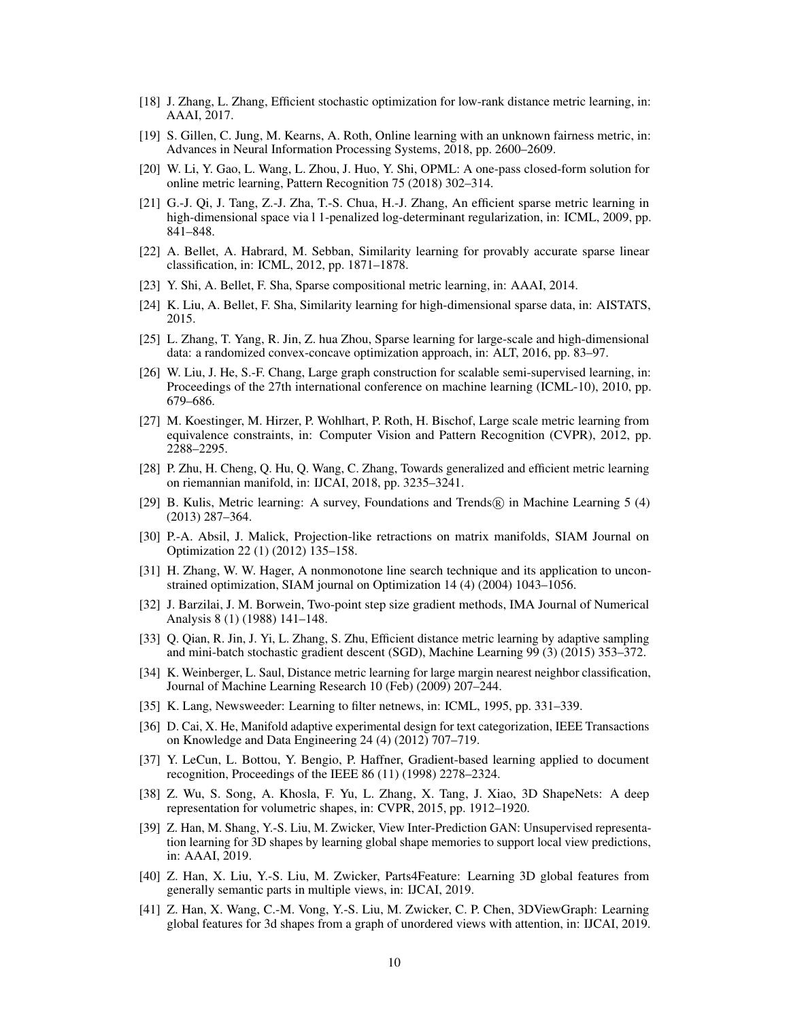- [18] J. Zhang, L. Zhang, Efficient stochastic optimization for low-rank distance metric learning, in: AAAI, 2017.
- [19] S. Gillen, C. Jung, M. Kearns, A. Roth, Online learning with an unknown fairness metric, in: Advances in Neural Information Processing Systems, 2018, pp. 2600–2609.
- [20] W. Li, Y. Gao, L. Wang, L. Zhou, J. Huo, Y. Shi, OPML: A one-pass closed-form solution for online metric learning, Pattern Recognition 75 (2018) 302–314.
- [21] G.-J. Qi, J. Tang, Z.-J. Zha, T.-S. Chua, H.-J. Zhang, An efficient sparse metric learning in high-dimensional space via l 1-penalized log-determinant regularization, in: ICML, 2009, pp. 841–848.
- [22] A. Bellet, A. Habrard, M. Sebban, Similarity learning for provably accurate sparse linear classification, in: ICML, 2012, pp. 1871–1878.
- [23] Y. Shi, A. Bellet, F. Sha, Sparse compositional metric learning, in: AAAI, 2014.
- [24] K. Liu, A. Bellet, F. Sha, Similarity learning for high-dimensional sparse data, in: AISTATS, 2015.
- [25] L. Zhang, T. Yang, R. Jin, Z. hua Zhou, Sparse learning for large-scale and high-dimensional data: a randomized convex-concave optimization approach, in: ALT, 2016, pp. 83–97.
- [26] W. Liu, J. He, S.-F. Chang, Large graph construction for scalable semi-supervised learning, in: Proceedings of the 27th international conference on machine learning (ICML-10), 2010, pp. 679–686.
- [27] M. Koestinger, M. Hirzer, P. Wohlhart, P. Roth, H. Bischof, Large scale metric learning from equivalence constraints, in: Computer Vision and Pattern Recognition (CVPR), 2012, pp. 2288–2295.
- [28] P. Zhu, H. Cheng, Q. Hu, Q. Wang, C. Zhang, Towards generalized and efficient metric learning on riemannian manifold, in: IJCAI, 2018, pp. 3235–3241.
- [29] B. Kulis, Metric learning: A survey, Foundations and Trends (R) in Machine Learning 5 (4) (2013) 287–364.
- [30] P.-A. Absil, J. Malick, Projection-like retractions on matrix manifolds, SIAM Journal on Optimization 22 (1) (2012) 135–158.
- [31] H. Zhang, W. W. Hager, A nonmonotone line search technique and its application to unconstrained optimization, SIAM journal on Optimization 14 (4) (2004) 1043–1056.
- [32] J. Barzilai, J. M. Borwein, Two-point step size gradient methods, IMA Journal of Numerical Analysis 8 (1) (1988) 141–148.
- [33] Q. Qian, R. Jin, J. Yi, L. Zhang, S. Zhu, Efficient distance metric learning by adaptive sampling and mini-batch stochastic gradient descent (SGD), Machine Learning 99 (3) (2015) 353–372.
- [34] K. Weinberger, L. Saul, Distance metric learning for large margin nearest neighbor classification, Journal of Machine Learning Research 10 (Feb) (2009) 207–244.
- [35] K. Lang, Newsweeder: Learning to filter netnews, in: ICML, 1995, pp. 331–339.
- [36] D. Cai, X. He, Manifold adaptive experimental design for text categorization, IEEE Transactions on Knowledge and Data Engineering 24 (4) (2012) 707–719.
- [37] Y. LeCun, L. Bottou, Y. Bengio, P. Haffner, Gradient-based learning applied to document recognition, Proceedings of the IEEE 86 (11) (1998) 2278–2324.
- [38] Z. Wu, S. Song, A. Khosla, F. Yu, L. Zhang, X. Tang, J. Xiao, 3D ShapeNets: A deep representation for volumetric shapes, in: CVPR, 2015, pp. 1912–1920.
- [39] Z. Han, M. Shang, Y.-S. Liu, M. Zwicker, View Inter-Prediction GAN: Unsupervised representation learning for 3D shapes by learning global shape memories to support local view predictions, in: AAAI, 2019.
- [40] Z. Han, X. Liu, Y.-S. Liu, M. Zwicker, Parts4Feature: Learning 3D global features from generally semantic parts in multiple views, in: IJCAI, 2019.
- [41] Z. Han, X. Wang, C.-M. Vong, Y.-S. Liu, M. Zwicker, C. P. Chen, 3DViewGraph: Learning global features for 3d shapes from a graph of unordered views with attention, in: IJCAI, 2019.